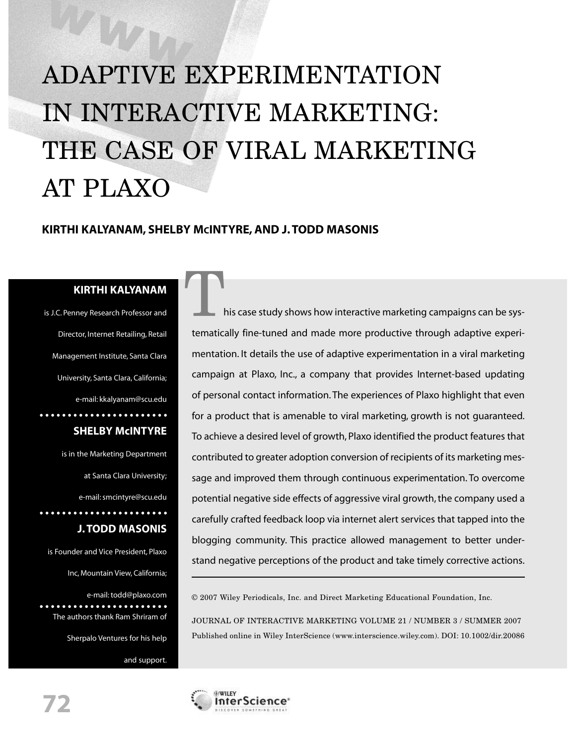# ADAPTIVE EXPERIMENTATION IN INTERACTIVE MARKETING: THE CASE OF VIRAL MARKETING AT PLAXO

### **KIRTHI KALYANAM, SHELBY MCINTYRE, AND J. TODD MASONIS**

An

**KIRTHI KALYANAM**<br> **Research Professor and** is J.C. Penney Research Professor and Director, Internet Retailing, Retail Management Institute, Santa Clara University, Santa Clara, California; e-mail: kkalyanam@scu.edu

## **SHELBY McINTYRE**

is in the Marketing Department at Santa Clara University; e-mail: smcintyre@scu.edu **J. TODD MASONIS** 

is Founder and Vice President, Plaxo Inc, Mountain View, California;

e-mail: todd@plaxo.com The authors thank Ram Shriram of

Sherpalo Ventures for his help

and support.

his case study shows how interactive marketing campaigns can be systematically fine-tuned and made more productive through adaptive experimentation. It details the use of adaptive experimentation in a viral marketing campaign at Plaxo, Inc., a company that provides Internet-based updating of personal contact information. The experiences of Plaxo highlight that even for a product that is amenable to viral marketing, growth is not guaranteed. To achieve a desired level of growth, Plaxo identified the product features that contributed to greater adoption conversion of recipients of its marketing message and improved them through continuous experimentation. To overcome potential negative side effects of aggressive viral growth, the company used a carefully crafted feedback loop via internet alert services that tapped into the blogging community. This practice allowed management to better understand negative perceptions of the product and take timely corrective actions.

© 2007 Wiley Periodicals, Inc. and Direct Marketing Educational Foundation, Inc.

JOURNAL OF INTERACTIVE MARKETING VOLUME 21 / NUMBER 3 / SUMMER 2007 Published online in Wiley InterScience (www.interscience.wiley.com). DOI: 10.1002/dir.20086

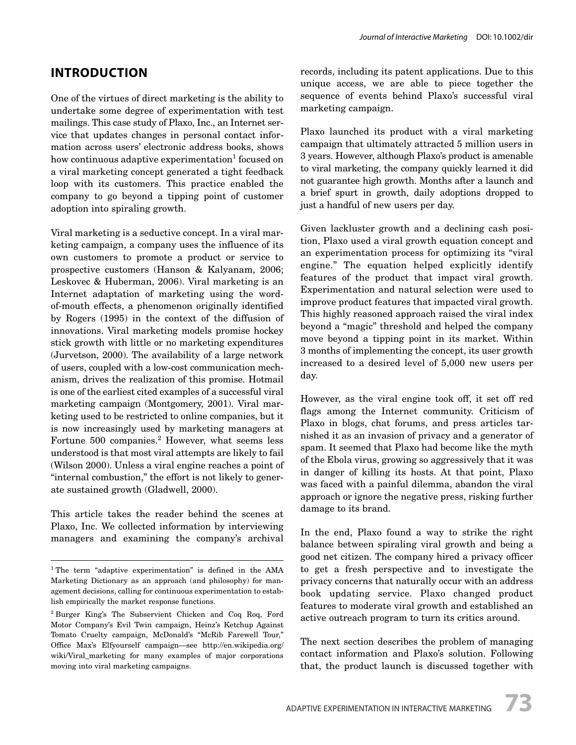### **INTRODUCTION**

One of the virtues of direct marketing is the ability to undertake some degree of experimentation with test mailings. This case study of Plaxo, Inc., an Internet service that updates changes in personal contact information across users' electronic address books, shows how continuous adaptive experimentation<sup>1</sup> focused on a viral marketing concept generated a tight feedback loop with its customers. This practice enabled the company to go beyond a tipping point of customer adoption into spiraling growth.

Viral marketing is a seductive concept. In a viral marketing campaign, a company uses the influence of its own customers to promote a product or service to prospective customers (Hanson & Kalyanam, 2006; Leskovec & Huberman, 2006). Viral marketing is an Internet adaptation of marketing using the wordof-mouth effects, a phenomenon originally identified by Rogers (1995) in the context of the diffusion of innovations. Viral marketing models promise hockey stick growth with little or no marketing expenditures (Jurvetson, 2000). The availability of a large network of users, coupled with a low-cost communication mechanism, drives the realization of this promise. Hotmail is one of the earliest cited examples of a successful viral marketing campaign (Montgomery, 2001). Viral marketing used to be restricted to online companies, but it is now increasingly used by marketing managers at Fortune 500 companies.<sup>2</sup> However, what seems less understood is that most viral attempts are likely to fail (Wilson 2000). Unless a viral engine reaches a point of "internal combustion," the effort is not likely to generate sustained growth (Gladwell, 2000).

This article takes the reader behind the scenes at Plaxo, Inc. We collected information by interviewing managers and examining the company's archival records, including its patent applications. Due to this unique access, we are able to piece together the sequence of events behind Plaxo's successful viral marketing campaign.

Plaxo launched its product with a viral marketing campaign that ultimately attracted 5 million users in 3 years. However, although Plaxo's product is amenable to viral marketing, the company quickly learned it did not guarantee high growth. Months after a launch and a brief spurt in growth, daily adoptions dropped to just a handful of new users per day.

Given lackluster growth and a declining cash position, Plaxo used a viral growth equation concept and an experimentation process for optimizing its "viral engine." The equation helped explicitly identify features of the product that impact viral growth. Experimentation and natural selection were used to improve product features that impacted viral growth. This highly reasoned approach raised the viral index beyond a "magic" threshold and helped the company move beyond a tipping point in its market. Within 3 months of implementing the concept, its user growth increased to a desired level of 5,000 new users per day.

However, as the viral engine took off, it set off red flags among the Internet community. Criticism of Plaxo in blogs, chat forums, and press articles tarnished it as an invasion of privacy and a generator of spam. It seemed that Plaxo had become like the myth of the Ebola virus, growing so aggressively that it was in danger of killing its hosts. At that point, Plaxo was faced with a painful dilemma, abandon the viral approach or ignore the negative press, risking further damage to its brand.

In the end, Plaxo found a way to strike the right balance between spiraling viral growth and being a good net citizen. The company hired a privacy officer to get a fresh perspective and to investigate the privacy concerns that naturally occur with an address book updating service. Plaxo changed product features to moderate viral growth and established an active outreach program to turn its critics around.

The next section describes the problem of managing contact information and Plaxo's solution. Following that, the product launch is discussed together with

<sup>1</sup> The term "adaptive experimentation" is defined in the AMA Marketing Dictionary as an approach (and philosophy) for management decisions, calling for continuous experimentation to establish empirically the market response functions.

<sup>2</sup> Burger King's The Subservient Chicken and Coq Roq, Ford Motor Company's Evil Twin campaign, Heinz's Ketchup Against Tomato Cruelty campaign, McDonald's "McRib Farewell Tour," Office Max's Elfyourself campaign—see http://en.wikipedia.org/ wiki/Viral\_marketing for many examples of major corporations moving into viral marketing campaigns.